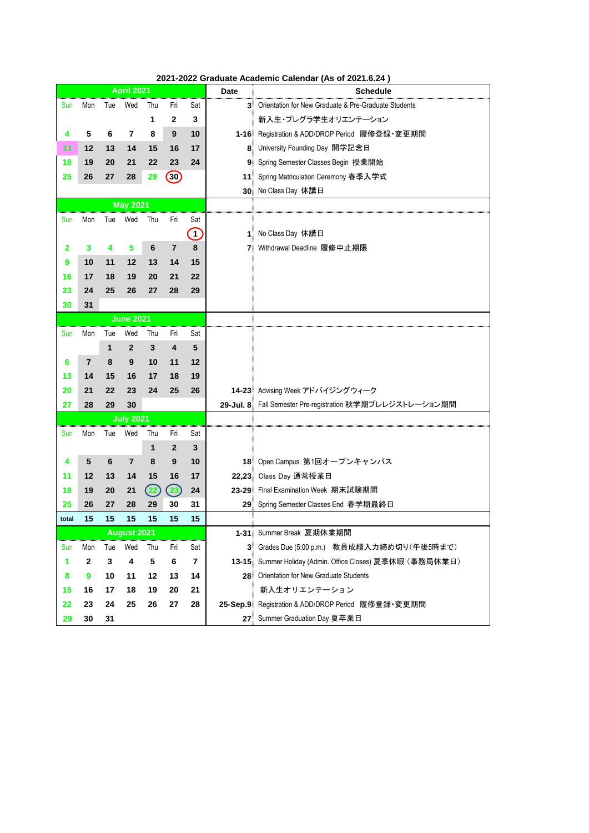|       |                |                | <b>April 2021</b>  |              |                         |                         | <b>Date</b> | <b>Schedule</b>                                           |
|-------|----------------|----------------|--------------------|--------------|-------------------------|-------------------------|-------------|-----------------------------------------------------------|
| Sun   | Mon            | Tue            | Wed                | Thu          | Fri                     | Sat                     |             | 3 Orientation for New Graduate & Pre-Graduate Students    |
|       |                |                |                    | 1            | $\mathbf{2}$            | 3                       |             | 新入生・プレグラ学生オリエンテーション                                       |
| 4     | 5              | 6              | 7                  | 8            | 9                       | 10                      |             | 1-16 Registration & ADD/DROP Period 履修登録·変更期間             |
| 11    | 12             | 13             | 14                 | 15           | 16                      | 17                      |             | 8 University Founding Day 開学記念日                           |
| 18    | 19             | 20             | 21                 | 22           | 23                      | 24                      |             | 9 Spring Semester Classes Begin 授業開始                      |
| 25    | 26             | 27             | 28                 | 29           | $\left(30\right)$       |                         | 11          | Spring Matriculation Ceremony 春季入学式                       |
|       |                |                |                    |              |                         |                         |             | 30 No Class Day 休講日                                       |
|       |                |                | <b>May 2021</b>    |              |                         |                         |             |                                                           |
| Sun   | Mon            | Tue            | Wed                | Thu          | Fri                     | Sat                     |             |                                                           |
|       |                |                |                    |              |                         | $\boxed{1}$             |             | 1 No Class Day 休講日                                        |
| 2     | 3              | 4              | 5                  | 6            | $\overline{7}$          | 8                       |             | 7 Withdrawal Deadline 履修中止期限                              |
| 9     | 10             | 11             | 12                 | 13           | 14                      | 15                      |             |                                                           |
| 16    | 17             | 18             | 19                 | 20           | 21                      | 22                      |             |                                                           |
| 23    | 24             | 25             | 26                 | 27           | 28                      | 29                      |             |                                                           |
| 30    | 31             |                |                    |              |                         |                         |             |                                                           |
|       |                |                | <b>June 2021</b>   |              |                         |                         |             |                                                           |
| Sun   | Mon            | Tue            | Wed                | Thu          | Fri                     | Sat                     |             |                                                           |
|       |                | 1              | $\overline{2}$     | $\mathbf{3}$ | $\overline{\mathbf{4}}$ | 5                       |             |                                                           |
| 6     | $\overline{7}$ | 8              | 9                  | 10           | 11                      | 12                      |             |                                                           |
| 13    | 14             | 15             | 16                 | 17           | 18                      | 19                      |             |                                                           |
| 20    | 21             | 22             | 23                 | 24           | 25                      | 26                      |             | 14-23 Advising Week アドバイジングウィーク                           |
| 27    | 28             | 29             | 30                 |              |                         |                         |             | 29-Jul. 8 Fall Semester Pre-registration 秋学期プレレジストレーション期間 |
|       |                |                | <b>July 2021</b>   |              |                         |                         |             |                                                           |
| sun   | <b>MON</b>     | l ue           | vvea               | 1 nu         | FП                      | Sat                     |             |                                                           |
|       |                |                |                    | 1            | $\overline{2}$          | 3                       |             |                                                           |
| 4     | 5              | $6\phantom{1}$ | $\overline{7}$     | 8            | $\boldsymbol{9}$        | 10                      |             | 18 Open Campus 第1回オープンキャンパス                               |
| 11    | 12             | 13             | 14                 | 15           | 16                      | 17                      |             | 22,23 Class Day 通常授業日                                     |
| 18    | 19             | 20             | 21                 | (22)         | $\left( 23\right)$      | 24                      |             | 23-29 Final Examination Week 期末試験期間                       |
| 25    | 26             | 27             | 28                 | 29           | 30                      | 31                      |             | 29 Spring Semester Classes End 春学期最終日                     |
| total | 15             | 15             | 15                 | 15           | 15                      | 15                      |             |                                                           |
|       |                |                | <b>August 2021</b> |              |                         |                         |             | 1-31 Summer Break 夏期休業期間                                  |
| Sun   | Mon            | Tue            | Wed                | Thu          | Fri                     | Sat                     |             | 3 Grades Due (5:00 p.m.) 教員成績入力締め切り(午後5時まで)               |
| 1     | $\mathbf{2}$   | 3              | 4                  | 5            | 6                       | $\overline{\mathbf{r}}$ |             | 13-15 Summer Holiday (Admin. Office Closes) 夏季休暇 (事務局休業日) |
| 8     | 9              | 10             | 11                 | 12           | 13                      | 14                      |             | 28 Orientation for New Graduate Students                  |
| 15    | 16             | 17             | 18                 | 19           | 20                      | 21                      |             | 新入生オリエンテーション                                              |
| 22    | 23             | 24             | 25                 | 26           | 27                      | 28                      |             | 25-Sep.9 Registration & ADD/DROP Period 履修登録·変更期間         |
| 29    | 30             | 31             |                    |              |                         |                         |             | 27 Summer Graduation Day 夏卒業日                             |

**2021-2022 Graduate Academic Calendar (As of 2021.6.24 )**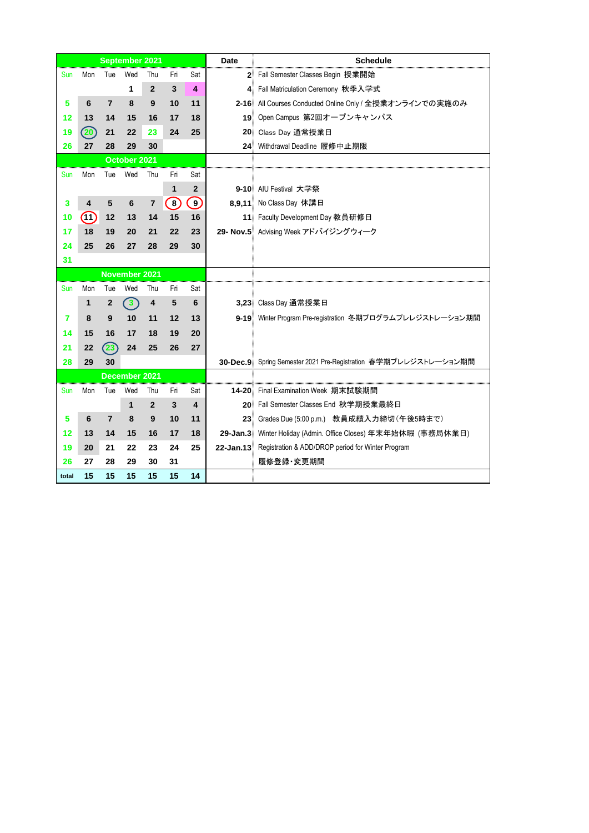|            |      |                  | <b>September 2021</b> |                |                         |                         | <b>Date</b> | <b>Schedule</b>                                                 |
|------------|------|------------------|-----------------------|----------------|-------------------------|-------------------------|-------------|-----------------------------------------------------------------|
| <b>Sun</b> | Mon  | Tue              | Wed                   | Thu            | Fri                     | Sat                     |             | 2 Fall Semester Classes Begin 授業開始                              |
|            |      |                  | 1                     | $\mathbf{2}$   | $\mathbf{3}$            | 4                       |             | 4 Fall Matriculation Ceremony 秋季入学式                             |
| 5          | 6    | $\overline{7}$   | 8                     | 9              | 10                      | 11                      |             | 2-16 All Courses Conducted Online Only / 全授業オンラインでの実施のみ         |
| 12         | 13   | 14               | 15                    | 16             | 17                      | 18                      |             | 19 Open Campus 第2回オープンキャンパス                                     |
| 19         | (20) | 21               | 22                    | 23             | 24                      | 25                      |             | 20 Class Day 通常授業日                                              |
| 26         | 27   | 28               | 29                    | 30             |                         |                         |             | 24 Withdrawal Deadline 履修中止期限                                   |
|            |      |                  | October 2021          |                |                         |                         |             |                                                                 |
| <b>Sun</b> | Mon  | Tue              | Wed                   | Thu            | Fri                     | Sat                     |             |                                                                 |
|            |      |                  |                       |                | 1                       | $\mathbf{2}$            |             | 9-10 AIU Festival 大学祭                                           |
| 3          | 4    | 5                | 6                     | $\overline{7}$ | $\bigcirc$              | $\left(9\right)$        |             | 8,9,11 No Class Day 休講日                                         |
| 10         | (11) | 12               | 13                    | 14             | 15                      | 16                      |             | 11 Faculty Development Day 教員研修日                                |
| 17         | 18   | 19               | 20                    | 21             | 22                      | 23                      |             | 29- Nov.5 Advising Week アドバイジングウィーク                             |
| 24         | 25   | 26               | 27                    | 28             | 29                      | 30                      |             |                                                                 |
| 31         |      |                  |                       |                |                         |                         |             |                                                                 |
|            |      |                  | <b>November 2021</b>  |                |                         |                         |             |                                                                 |
| <b>Sun</b> | Mon  | Tue              | Wed                   | Thu            | Fri                     | Sat                     |             |                                                                 |
|            | 1    | $\boldsymbol{2}$ | $\left(3\right)$      | 4              | $\overline{\mathbf{5}}$ | 6                       |             | 3,23 Class Day 通常授業日                                            |
| 7          | 8    | 9                | 10                    | 11             | 12                      | 13                      |             | 9-19 Winter Program Pre-registration 冬期プログラムプレレジストレーション期間       |
| 14         | 15   | 16               | 17                    | 18             | 19                      | 20                      |             |                                                                 |
| 21         | 22   | (23)             | 24                    | 25             | 26                      | 27                      |             |                                                                 |
| 28         | 29   | 30               |                       |                |                         |                         |             | 30-Dec.9 Spring Semester 2021 Pre-Registration 春学期プレレジストレーション期間 |
|            |      |                  | December 2021         |                |                         |                         |             |                                                                 |
| <b>Sun</b> | Mon  | Tue              | Wed                   | Thu            | Fri                     | Sat                     |             | 14-20 Final Examination Week 期末試験期間                             |
|            |      |                  | $\mathbf 1$           | $\overline{2}$ | 3                       | $\overline{\mathbf{4}}$ |             | 20 Fall Semester Classes End 秋学期授業最終日                           |
| 5          | 6    | $\overline{7}$   | 8                     | $9$            | 10                      | 11                      |             | 23 Grades Due (5:00 p.m.) 教員成績入力締切 (午後5時まで)                     |
| 12         | 13   | 14               | 15                    | 16             | 17                      | 18                      |             | 29-Jan.3 Winter Holiday (Admin. Office Closes) 年末年始休暇 (事務局休業日)  |
| 19         | 20   | 21               | 22                    | 23             | 24                      | 25                      |             | 22-Jan.13 Registration & ADD/DROP period for Winter Program     |
| 26         | 27   | 28               | 29                    | 30             | 31                      |                         |             | 履修登録·変更期間                                                       |
| total      | 15   | 15               | 15                    | 15             | 15                      | 14                      |             |                                                                 |